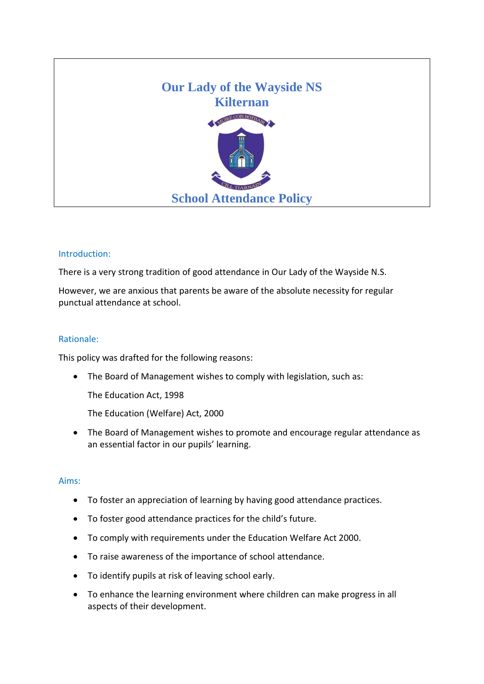

## Introduction:

There is a very strong tradition of good attendance in Our Lady of the Wayside N.S.

However, we are anxious that parents be aware of the absolute necessity for regular punctual attendance at school.

### Rationale:

This policy was drafted for the following reasons:

The Board of Management wishes to comply with legislation, such as:

The Education Act, 1998

The Education (Welfare) Act, 2000

 The Board of Management wishes to promote and encourage regular attendance as an essential factor in our pupils' learning.

### Aims:

- To foster an appreciation of learning by having good attendance practices.
- To foster good attendance practices for the child's future.
- To comply with requirements under the Education Welfare Act 2000.
- To raise awareness of the importance of school attendance.
- To identify pupils at risk of leaving school early.
- To enhance the learning environment where children can make progress in all aspects of their development.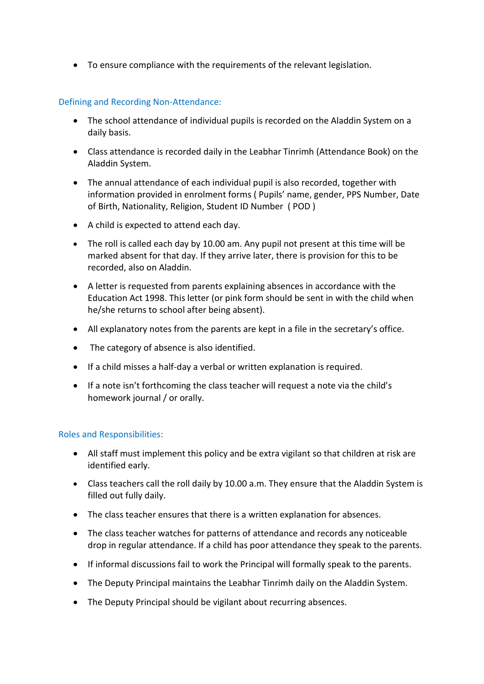To ensure compliance with the requirements of the relevant legislation.

# Defining and Recording Non-Attendance:

- The school attendance of individual pupils is recorded on the Aladdin System on a daily basis.
- Class attendance is recorded daily in the Leabhar Tinrimh (Attendance Book) on the Aladdin System.
- The annual attendance of each individual pupil is also recorded, together with information provided in enrolment forms ( Pupils' name, gender, PPS Number, Date of Birth, Nationality, Religion, Student ID Number ( POD )
- A child is expected to attend each day.
- The roll is called each day by 10.00 am. Any pupil not present at this time will be marked absent for that day. If they arrive later, there is provision for this to be recorded, also on Aladdin.
- A letter is requested from parents explaining absences in accordance with the Education Act 1998. This letter (or pink form should be sent in with the child when he/she returns to school after being absent).
- All explanatory notes from the parents are kept in a file in the secretary's office.
- The category of absence is also identified.
- If a child misses a half-day a verbal or written explanation is required.
- If a note isn't forthcoming the class teacher will request a note via the child's homework journal / or orally.

### Roles and Responsibilities:

- All staff must implement this policy and be extra vigilant so that children at risk are identified early.
- Class teachers call the roll daily by 10.00 a.m. They ensure that the Aladdin System is filled out fully daily.
- The class teacher ensures that there is a written explanation for absences.
- The class teacher watches for patterns of attendance and records any noticeable drop in regular attendance. If a child has poor attendance they speak to the parents.
- If informal discussions fail to work the Principal will formally speak to the parents.
- The Deputy Principal maintains the Leabhar Tinrimh daily on the Aladdin System.
- The Deputy Principal should be vigilant about recurring absences.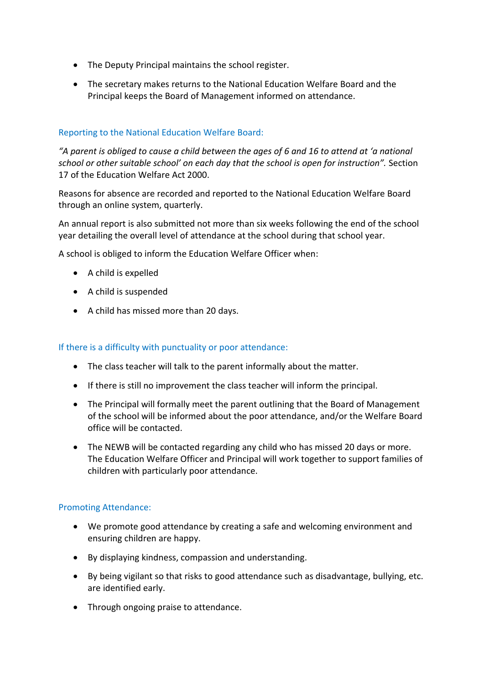- The Deputy Principal maintains the school register.
- The secretary makes returns to the National Education Welfare Board and the Principal keeps the Board of Management informed on attendance.

# Reporting to the National Education Welfare Board:

*"A parent is obliged to cause a child between the ages of 6 and 16 to attend at 'a national school or other suitable school' on each day that the school is open for instruction".* Section 17 of the Education Welfare Act 2000.

Reasons for absence are recorded and reported to the National Education Welfare Board through an online system, quarterly.

An annual report is also submitted not more than six weeks following the end of the school year detailing the overall level of attendance at the school during that school year.

A school is obliged to inform the Education Welfare Officer when:

- A child is expelled
- A child is suspended
- A child has missed more than 20 days.

## If there is a difficulty with punctuality or poor attendance:

- The class teacher will talk to the parent informally about the matter.
- If there is still no improvement the class teacher will inform the principal.
- The Principal will formally meet the parent outlining that the Board of Management of the school will be informed about the poor attendance, and/or the Welfare Board office will be contacted.
- The NEWB will be contacted regarding any child who has missed 20 days or more. The Education Welfare Officer and Principal will work together to support families of children with particularly poor attendance.

# Promoting Attendance:

- We promote good attendance by creating a safe and welcoming environment and ensuring children are happy.
- By displaying kindness, compassion and understanding.
- By being vigilant so that risks to good attendance such as disadvantage, bullying, etc. are identified early.
- Through ongoing praise to attendance.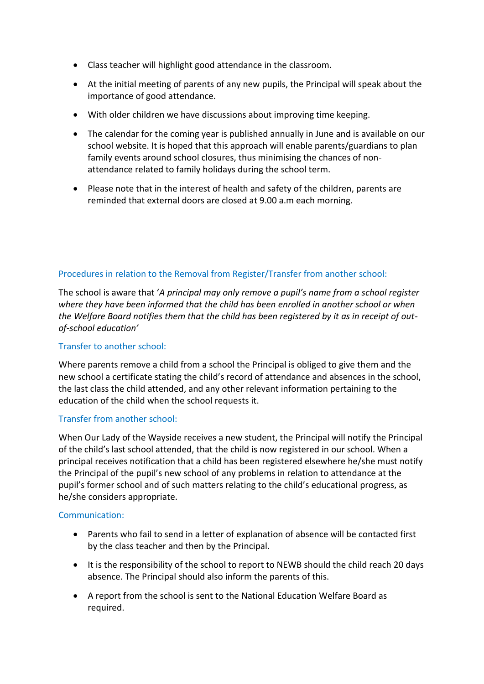- Class teacher will highlight good attendance in the classroom.
- At the initial meeting of parents of any new pupils, the Principal will speak about the importance of good attendance.
- With older children we have discussions about improving time keeping.
- The calendar for the coming year is published annually in June and is available on our school website. It is hoped that this approach will enable parents/guardians to plan family events around school closures, thus minimising the chances of nonattendance related to family holidays during the school term.
- Please note that in the interest of health and safety of the children, parents are reminded that external doors are closed at 9.00 a.m each morning.

# Procedures in relation to the Removal from Register/Transfer from another school:

The school is aware that '*A principal may only remove a pupil's name from a school register where they have been informed that the child has been enrolled in another school or when the Welfare Board notifies them that the child has been registered by it as in receipt of outof-school education'*

### Transfer to another school:

Where parents remove a child from a school the Principal is obliged to give them and the new school a certificate stating the child's record of attendance and absences in the school, the last class the child attended, and any other relevant information pertaining to the education of the child when the school requests it.

# Transfer from another school:

When Our Lady of the Wayside receives a new student, the Principal will notify the Principal of the child's last school attended, that the child is now registered in our school. When a principal receives notification that a child has been registered elsewhere he/she must notify the Principal of the pupil's new school of any problems in relation to attendance at the pupil's former school and of such matters relating to the child's educational progress, as he/she considers appropriate.

### Communication:

- Parents who fail to send in a letter of explanation of absence will be contacted first by the class teacher and then by the Principal.
- It is the responsibility of the school to report to NEWB should the child reach 20 days absence. The Principal should also inform the parents of this.
- A report from the school is sent to the National Education Welfare Board as required.